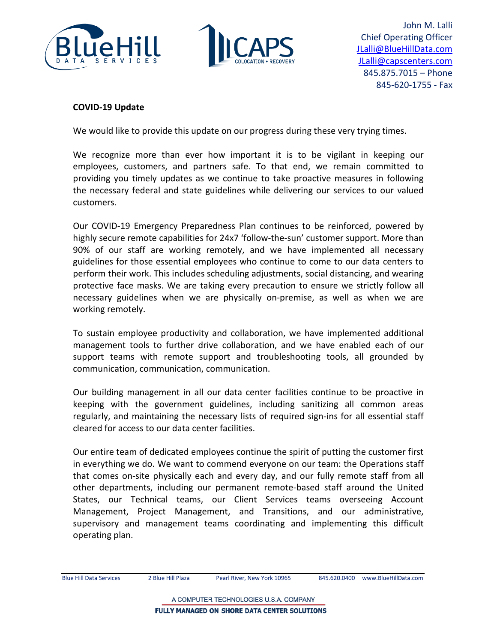



John M. Lalli Chief Operating Officer [JLalli@BlueHillData.com](mailto:JLalli@BlueHillData.com) [JLalli@capscenters.com](mailto:JLalli@capscenters.com) 845.875.7015 – Phone 845-620-1755 - Fax

## **COVID-19 Update**

We would like to provide this update on our progress during these very trying times.

We recognize more than ever how important it is to be vigilant in keeping our employees, customers, and partners safe. To that end, we remain committed to providing you timely updates as we continue to take proactive measures in following the necessary federal and state guidelines while delivering our services to our valued customers.

Our COVID-19 Emergency Preparedness Plan continues to be reinforced, powered by highly secure remote capabilities for 24x7 'follow-the-sun' customer support. More than 90% of our staff are working remotely, and we have implemented all necessary guidelines for those essential employees who continue to come to our data centers to perform their work. This includes scheduling adjustments, social distancing, and wearing protective face masks. We are taking every precaution to ensure we strictly follow all necessary guidelines when we are physically on-premise, as well as when we are working remotely.

To sustain employee productivity and collaboration, we have implemented additional management tools to further drive collaboration, and we have enabled each of our support teams with remote support and troubleshooting tools, all grounded by communication, communication, communication.

Our building management in all our data center facilities continue to be proactive in keeping with the government guidelines, including sanitizing all common areas regularly, and maintaining the necessary lists of required sign-ins for all essential staff cleared for access to our data center facilities.

Our entire team of dedicated employees continue the spirit of putting the customer first in everything we do. We want to commend everyone on our team: the Operations staff that comes on-site physically each and every day, and our fully remote staff from all other departments, including our permanent remote-based staff around the United States, our Technical teams, our Client Services teams overseeing Account Management, Project Management, and Transitions, and our administrative, supervisory and management teams coordinating and implementing this difficult operating plan.